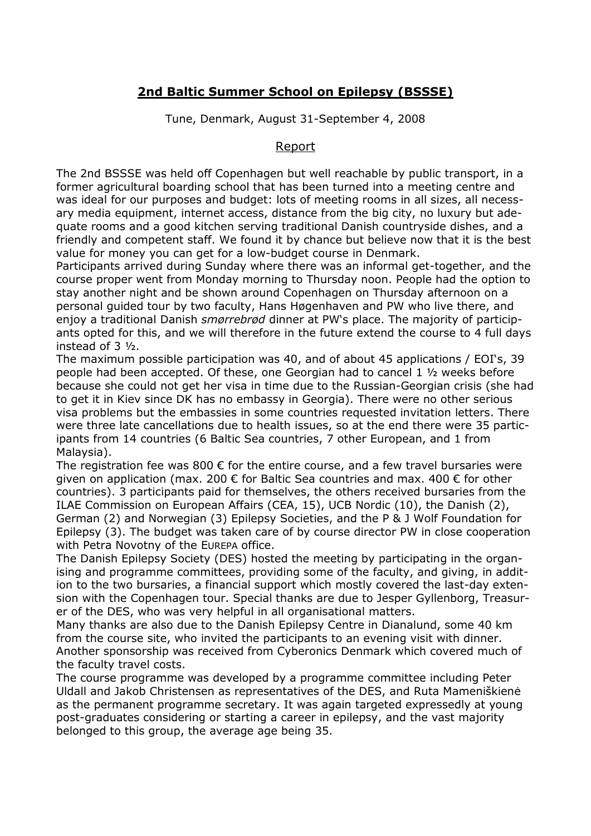## **2nd Baltic Summer School on Epilepsy (BSSSE)**

Tune, Denmark, August 31-September 4, 2008

## Report

The 2nd BSSSE was held off Copenhagen but well reachable by public transport, in a former agricultural boarding school that has been turned into a meeting centre and was ideal for our purposes and budget: lots of meeting rooms in all sizes, all necessary media equipment, internet access, distance from the big city, no luxury but adequate rooms and a good kitchen serving traditional Danish countryside dishes, and a friendly and competent staff. We found it by chance but believe now that it is the best value for money you can get for a low-budget course in Denmark.

Participants arrived during Sunday where there was an informal get-together, and the course proper went from Monday morning to Thursday noon. People had the option to stay another night and be shown around Copenhagen on Thursday afternoon on a personal guided tour by two faculty, Hans Høgenhaven and PW who live there, and enjoy a traditional Danish *smørrebrød* dinner at PW's place. The majority of participants opted for this, and we will therefore in the future extend the course to 4 full days instead of 3 ½ .

The maximum possible participation was 40, and of about 45 applications / EOI's, 39 people had been accepted. Of these, one Georgian had to cancel 1 ½ weeks before because she could not get her visa in time due to the Russian-Georgian crisis (she had to get it in Kiev since DK has no embassy in Georgia). There were no other serious visa problems but the embassies in some countries requested invitation letters. There were three late cancellations due to health issues, so at the end there were 35 participants from 14 countries (6 Baltic Sea countries, 7 other European, and 1 from Malaysia).

The registration fee was 800  $\epsilon$  for the entire course, and a few travel bursaries were given on application (max. 200  $\epsilon$  for Baltic Sea countries and max. 400  $\epsilon$  for other countries). 3 participants paid for themselves, the others received bursaries from the ILAE Commission on European Affairs (CEA, 15), UCB Nordic (10), the Danish (2), German (2) and Norwegian (3) Epilepsy Societies, and the P & J Wolf Foundation for Epilepsy (3). The budget was taken care of by course director PW in close cooperation with Petra Novotny of the EUREPA office.

The Danish Epilepsy Society (DES) hosted the meeting by participating in the organising and programme committees, providing some of the faculty, and giving, in addition to the two bursaries, a financial support which mostly covered the last-day extension with the Copenhagen tour. Special thanks are due to Jesper Gyllenborg, Treasurer of the DES, who was very helpful in all organisational matters.

Many thanks are also due to the Danish Epilepsy Centre in Dianalund, some 40 km from the course site, who invited the participants to an evening visit with dinner. Another sponsorship was received from Cyberonics Denmark which covered much of the faculty travel costs.

The course programme was developed by a programme committee including Peter Uldall and Jakob Christensen as representatives of the DES, and Ruta Mameniškienė as the permanent programme secretary. It was again targeted expressedly at young post-graduates considering or starting a career in epilepsy, and the vast majority belonged to this group, the average age being 35.